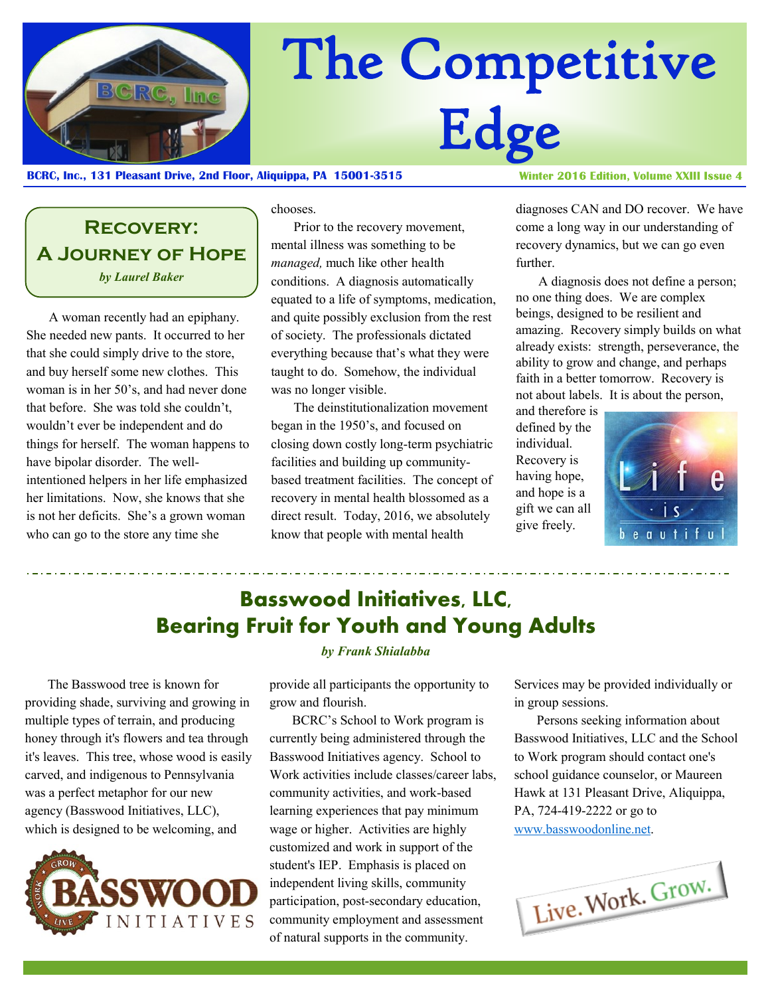

# The Competitive Edge

#### **BCRC, Inc., 131 Pleasant Drive, 2nd Floor, Aliquippa, PA 15001-3515**

**Recovery: A Journey of Hope** *by Laurel Baker*

A woman recently had an epiphany. She needed new pants. It occurred to her that she could simply drive to the store, and buy herself some new clothes. This woman is in her 50's, and had never done that before. She was told she couldn't, wouldn't ever be independent and do things for herself. The woman happens to have bipolar disorder. The wellintentioned helpers in her life emphasized her limitations. Now, she knows that she is not her deficits. She's a grown woman who can go to the store any time she

chooses.

Prior to the recovery movement, mental illness was something to be *managed,* much like other health conditions. A diagnosis automatically equated to a life of symptoms, medication, and quite possibly exclusion from the rest of society. The professionals dictated everything because that's what they were taught to do. Somehow, the individual was no longer visible.

The deinstitutionalization movement began in the 1950's, and focused on closing down costly long-term psychiatric facilities and building up communitybased treatment facilities. The concept of recovery in mental health blossomed as a direct result. Today, 2016, we absolutely know that people with mental health

Winter 2016 Edition, Volume XXIII Issue 4

diagnoses CAN and DO recover. We have come a long way in our understanding of recovery dynamics, but we can go even further.

A diagnosis does not define a person; no one thing does. We are complex beings, designed to be resilient and amazing. Recovery simply builds on what already exists: strength, perseverance, the ability to grow and change, and perhaps faith in a better tomorrow. Recovery is not about labels. It is about the person,

and therefore is defined by the individual. Recovery is having hope, and hope is a gift we can all give freely.



# **Basswood Initiatives, LLC, Bearing Fruit for Youth and Young Adults**

The Basswood tree is known for providing shade, surviving and growing in multiple types of terrain, and producing honey through it's flowers and tea through it's leaves. This tree, whose wood is easily carved, and indigenous to Pennsylvania was a perfect metaphor for our new agency (Basswood Initiatives, LLC), which is designed to be welcoming, and



*by Frank Shialabba*

provide all participants the opportunity to grow and flourish.

BCRC's School to Work program is currently being administered through the Basswood Initiatives agency. School to Work activities include classes/career labs, community activities, and work-based learning experiences that pay minimum wage or higher. Activities are highly customized and work in support of the student's IEP. Emphasis is placed on independent living skills, community participation, post-secondary education, community employment and assessment of natural supports in the community.

Services may be provided individually or in group sessions.

Persons seeking information about Basswood Initiatives, LLC and the School to Work program should contact one's school guidance counselor, or Maureen Hawk at 131 Pleasant Drive, Aliquippa, PA, 724-419-2222 or go to [www.basswoodonline.net.](http://www.basswoodonline.net/)

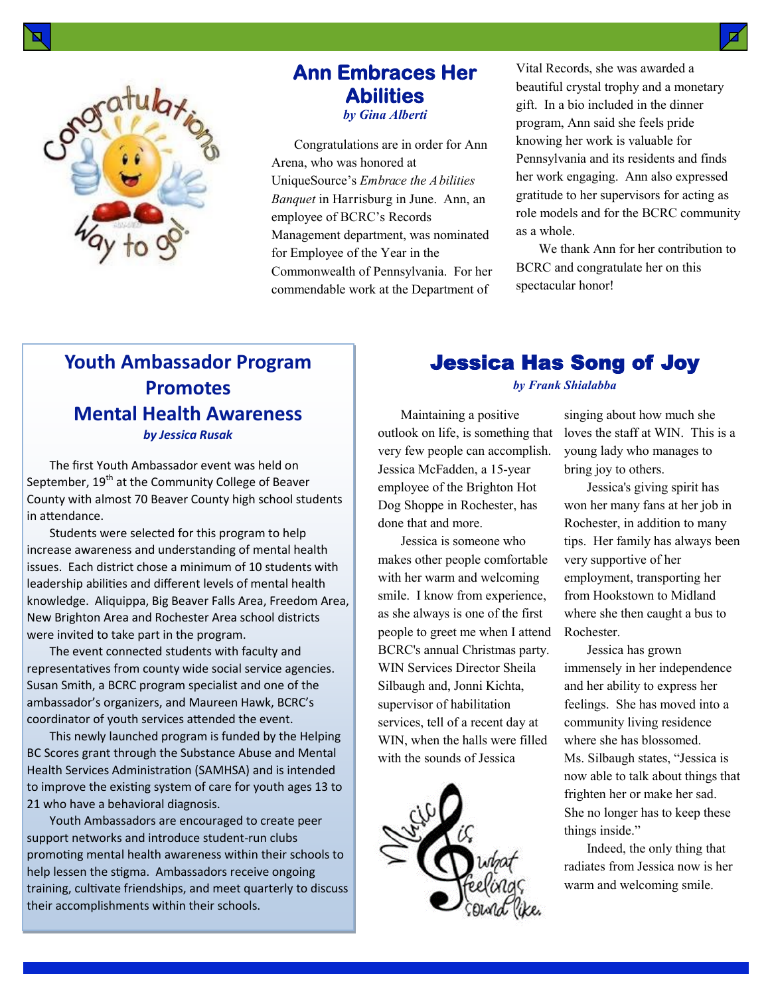

### **Ann Embraces Her Abilities**  *by Gina Alberti*

Congratulations are in order for Ann Arena, who was honored at UniqueSource's *Embrace the Abilities Banquet* in Harrisburg in June. Ann, an employee of BCRC's Records Management department, was nominated for Employee of the Year in the Commonwealth of Pennsylvania. For her commendable work at the Department of

Vital Records, she was awarded a beautiful crystal trophy and a monetary gift. In a bio included in the dinner program, Ann said she feels pride knowing her work is valuable for Pennsylvania and its residents and finds her work engaging. Ann also expressed gratitude to her supervisors for acting as role models and for the BCRC community as a whole.

We thank Ann for her contribution to BCRC and congratulate her on this spectacular honor!

## **Youth Ambassador Program Promotes Mental Health Awareness** *by Jessica Rusak*

The first Youth Ambassador event was held on September, 19<sup>th</sup> at the Community College of Beaver County with almost 70 Beaver County high school students in attendance.

Students were selected for this program to help increase awareness and understanding of mental health issues. Each district chose a minimum of 10 students with leadership abilities and different levels of mental health knowledge. Aliquippa, Big Beaver Falls Area, Freedom Area, New Brighton Area and Rochester Area school districts were invited to take part in the program.

The event connected students with faculty and representatives from county wide social service agencies. Susan Smith, a BCRC program specialist and one of the ambassador's organizers, and Maureen Hawk, BCRC's coordinator of youth services attended the event.

This newly launched program is funded by the Helping BC Scores grant through the Substance Abuse and Mental Health Services Administration (SAMHSA) and is intended to improve the existing system of care for youth ages 13 to 21 who have a behavioral diagnosis.

Youth Ambassadors are encouraged to create peer support networks and introduce student-run clubs promoting mental health awareness within their schools to help lessen the stigma. Ambassadors receive ongoing training, cultivate friendships, and meet quarterly to discuss their accomplishments within their schools.

## Jessica Has Song of Joy

*by Frank Shialabba*

Maintaining a positive outlook on life, is something that very few people can accomplish. Jessica McFadden, a 15-year employee of the Brighton Hot Dog Shoppe in Rochester, has done that and more.

Jessica is someone who makes other people comfortable with her warm and welcoming smile. I know from experience, as she always is one of the first people to greet me when I attend BCRC's annual Christmas party. WIN Services Director Sheila Silbaugh and, Jonni Kichta, supervisor of habilitation services, tell of a recent day at WIN, when the halls were filled with the sounds of Jessica



singing about how much she loves the staff at WIN. This is a young lady who manages to bring joy to others.

Jessica's giving spirit has won her many fans at her job in Rochester, in addition to many tips. Her family has always been very supportive of her employment, transporting her from Hookstown to Midland where she then caught a bus to Rochester.

Jessica has grown immensely in her independence and her ability to express her feelings. She has moved into a community living residence where she has blossomed. Ms. Silbaugh states, "Jessica is now able to talk about things that frighten her or make her sad. She no longer has to keep these things inside."

Indeed, the only thing that radiates from Jessica now is her warm and welcoming smile.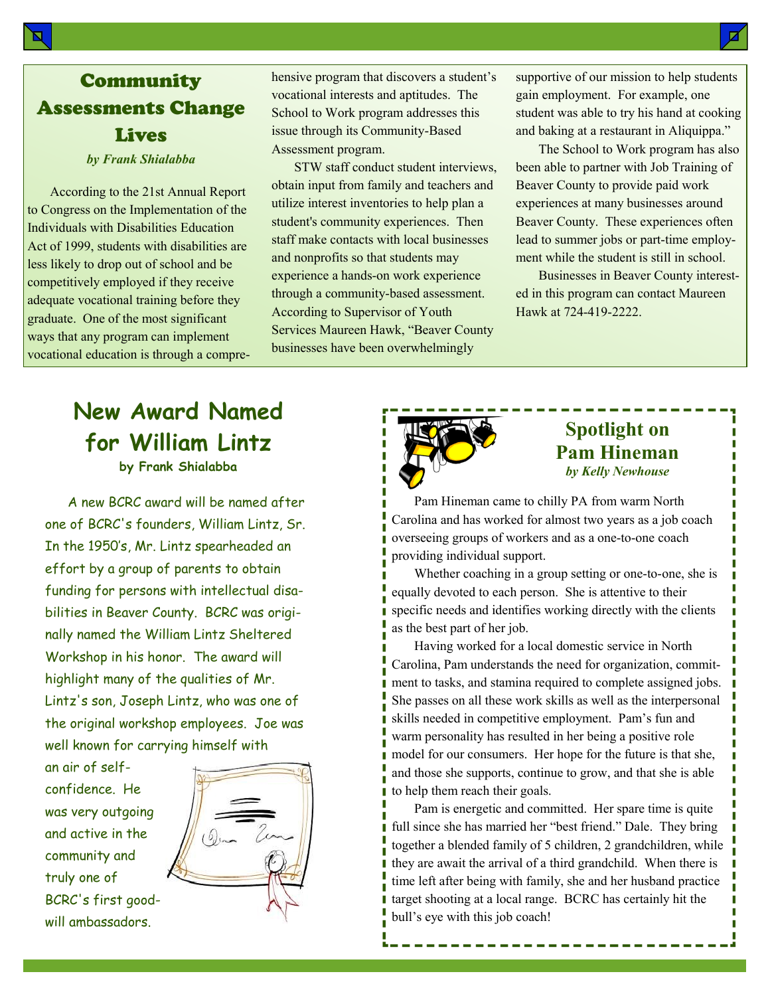# Community Assessments Change Lives

*by Frank Shialabba*

According to the 21st Annual Report to Congress on the Implementation of the Individuals with Disabilities Education Act of 1999, students with disabilities are less likely to drop out of school and be competitively employed if they receive adequate vocational training before they graduate. One of the most significant ways that any program can implement vocational education is through a comprehensive program that discovers a student's vocational interests and aptitudes. The School to Work program addresses this issue through its Community-Based Assessment program.

STW staff conduct student interviews, obtain input from family and teachers and utilize interest inventories to help plan a student's community experiences. Then staff make contacts with local businesses and nonprofits so that students may experience a hands-on work experience through a community-based assessment. According to Supervisor of Youth Services Maureen Hawk, "Beaver County businesses have been overwhelmingly

supportive of our mission to help students gain employment. For example, one student was able to try his hand at cooking and baking at a restaurant in Aliquippa."

The School to Work program has also been able to partner with Job Training of Beaver County to provide paid work experiences at many businesses around Beaver County. These experiences often lead to summer jobs or part-time employment while the student is still in school.

Businesses in Beaver County interested in this program can contact Maureen Hawk at 724-419-2222.

# **New Award Named for William Lintz by Frank Shialabba**

A new BCRC award will be named after one of BCRC's founders, William Lintz, Sr. In the 1950's, Mr. Lintz spearheaded an effort by a group of parents to obtain funding for persons with intellectual disabilities in Beaver County. BCRC was originally named the William Lintz Sheltered Workshop in his honor. The award will highlight many of the qualities of Mr. Lintz's son, Joseph Lintz, who was one of the original workshop employees. Joe was well known for carrying himself with

an air of selfconfidence. He was very outgoing and active in the community and truly one of BCRC's first goodwill ambassadors.





## **Spotlight on Pam Hineman** *by Kelly Newhouse*

Pam Hineman came to chilly PA from warm North Carolina and has worked for almost two years as a job coach overseeing groups of workers and as a one-to-one coach providing individual support.

Whether coaching in a group setting or one-to-one, she is equally devoted to each person. She is attentive to their specific needs and identifies working directly with the clients as the best part of her job.

Having worked for a local domestic service in North Carolina, Pam understands the need for organization, commitment to tasks, and stamina required to complete assigned jobs. She passes on all these work skills as well as the interpersonal skills needed in competitive employment. Pam's fun and warm personality has resulted in her being a positive role model for our consumers. Her hope for the future is that she, and those she supports, continue to grow, and that she is able to help them reach their goals.

Pam is energetic and committed. Her spare time is quite full since she has married her "best friend." Dale. They bring together a blended family of 5 children, 2 grandchildren, while they are await the arrival of a third grandchild. When there is time left after being with family, she and her husband practice target shooting at a local range. BCRC has certainly hit the bull's eye with this job coach!

Ø